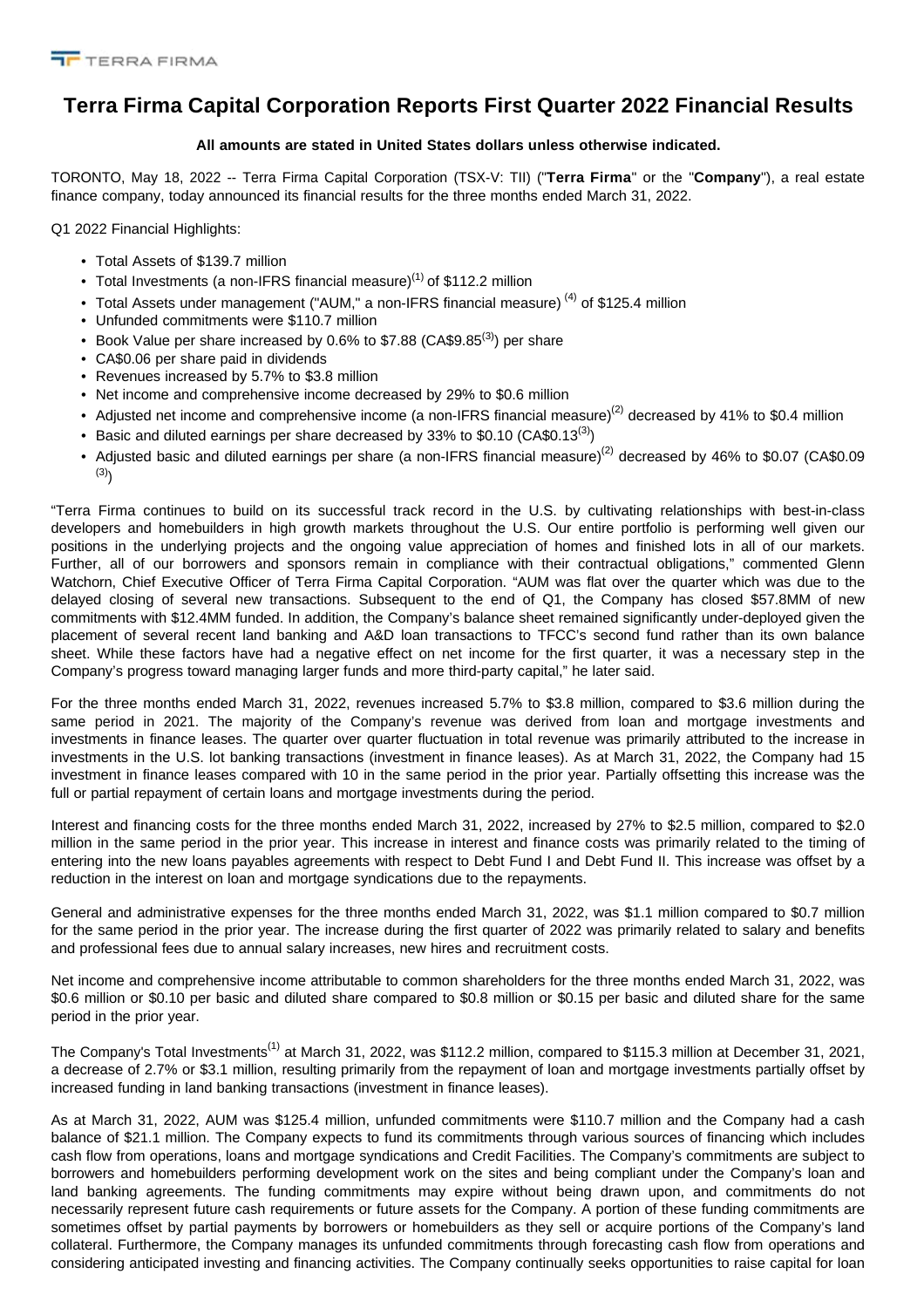# **Terra Firma Capital Corporation Reports First Quarter 2022 Financial Results**

# **All amounts are stated in United States dollars unless otherwise indicated.**

TORONTO, May 18, 2022 -- Terra Firma Capital Corporation (TSX-V: TII) ("**Terra Firma**" or the "**Company**"), a real estate finance company, today announced its financial results for the three months ended March 31, 2022.

Q1 2022 Financial Highlights:

- Total Assets of \$139.7 million
- Total Investments (a non-IFRS financial measure)<sup>(1)</sup> of \$112.2 million
- Total Assets under management ("AUM," a non-IFRS financial measure)<sup>(4)</sup> of \$125.4 million
- Unfunded commitments were \$110.7 million
- Book Value per share increased by 0.6% to \$7.88 (CA\$9.85<sup>(3)</sup>) per share
- CA\$0.06 per share paid in dividends
- Revenues increased by 5.7% to \$3.8 million
- Net income and comprehensive income decreased by 29% to \$0.6 million
- Adjusted net income and comprehensive income (a non-IFRS financial measure)<sup>(2)</sup> decreased by 41% to \$0.4 million
- Basic and diluted earnings per share decreased by 33% to \$0.10 (CA\$0.13 $^{(3)}$ )
- Adjusted basic and diluted earnings per share (a non-IFRS financial measure)<sup>(2)</sup> decreased by 46% to \$0.07 (CA\$0.09  $(3)$

"Terra Firma continues to build on its successful track record in the U.S. by cultivating relationships with best-in-class developers and homebuilders in high growth markets throughout the U.S. Our entire portfolio is performing well given our positions in the underlying projects and the ongoing value appreciation of homes and finished lots in all of our markets. Further, all of our borrowers and sponsors remain in compliance with their contractual obligations," commented Glenn Watchorn, Chief Executive Officer of Terra Firma Capital Corporation. "AUM was flat over the quarter which was due to the delayed closing of several new transactions. Subsequent to the end of Q1, the Company has closed \$57.8MM of new commitments with \$12.4MM funded. In addition, the Company's balance sheet remained significantly under-deployed given the placement of several recent land banking and A&D loan transactions to TFCC's second fund rather than its own balance sheet. While these factors have had a negative effect on net income for the first quarter, it was a necessary step in the Company's progress toward managing larger funds and more third-party capital," he later said.

For the three months ended March 31, 2022, revenues increased 5.7% to \$3.8 million, compared to \$3.6 million during the same period in 2021. The majority of the Company's revenue was derived from loan and mortgage investments and investments in finance leases. The quarter over quarter fluctuation in total revenue was primarily attributed to the increase in investments in the U.S. lot banking transactions (investment in finance leases). As at March 31, 2022, the Company had 15 investment in finance leases compared with 10 in the same period in the prior year. Partially offsetting this increase was the full or partial repayment of certain loans and mortgage investments during the period.

Interest and financing costs for the three months ended March 31, 2022, increased by 27% to \$2.5 million, compared to \$2.0 million in the same period in the prior year. This increase in interest and finance costs was primarily related to the timing of entering into the new loans payables agreements with respect to Debt Fund I and Debt Fund II. This increase was offset by a reduction in the interest on loan and mortgage syndications due to the repayments.

General and administrative expenses for the three months ended March 31, 2022, was \$1.1 million compared to \$0.7 million for the same period in the prior year. The increase during the first quarter of 2022 was primarily related to salary and benefits and professional fees due to annual salary increases, new hires and recruitment costs.

Net income and comprehensive income attributable to common shareholders for the three months ended March 31, 2022, was \$0.6 million or \$0.10 per basic and diluted share compared to \$0.8 million or \$0.15 per basic and diluted share for the same period in the prior year.

The Company's Total Investments<sup>(1)</sup> at March 31, 2022, was \$112.2 million, compared to \$115.3 million at December 31, 2021, a decrease of 2.7% or \$3.1 million, resulting primarily from the repayment of loan and mortgage investments partially offset by increased funding in land banking transactions (investment in finance leases).

As at March 31, 2022, AUM was \$125.4 million, unfunded commitments were \$110.7 million and the Company had a cash balance of \$21.1 million. The Company expects to fund its commitments through various sources of financing which includes cash flow from operations, loans and mortgage syndications and Credit Facilities. The Company's commitments are subject to borrowers and homebuilders performing development work on the sites and being compliant under the Company's loan and land banking agreements. The funding commitments may expire without being drawn upon, and commitments do not necessarily represent future cash requirements or future assets for the Company. A portion of these funding commitments are sometimes offset by partial payments by borrowers or homebuilders as they sell or acquire portions of the Company's land collateral. Furthermore, the Company manages its unfunded commitments through forecasting cash flow from operations and considering anticipated investing and financing activities. The Company continually seeks opportunities to raise capital for loan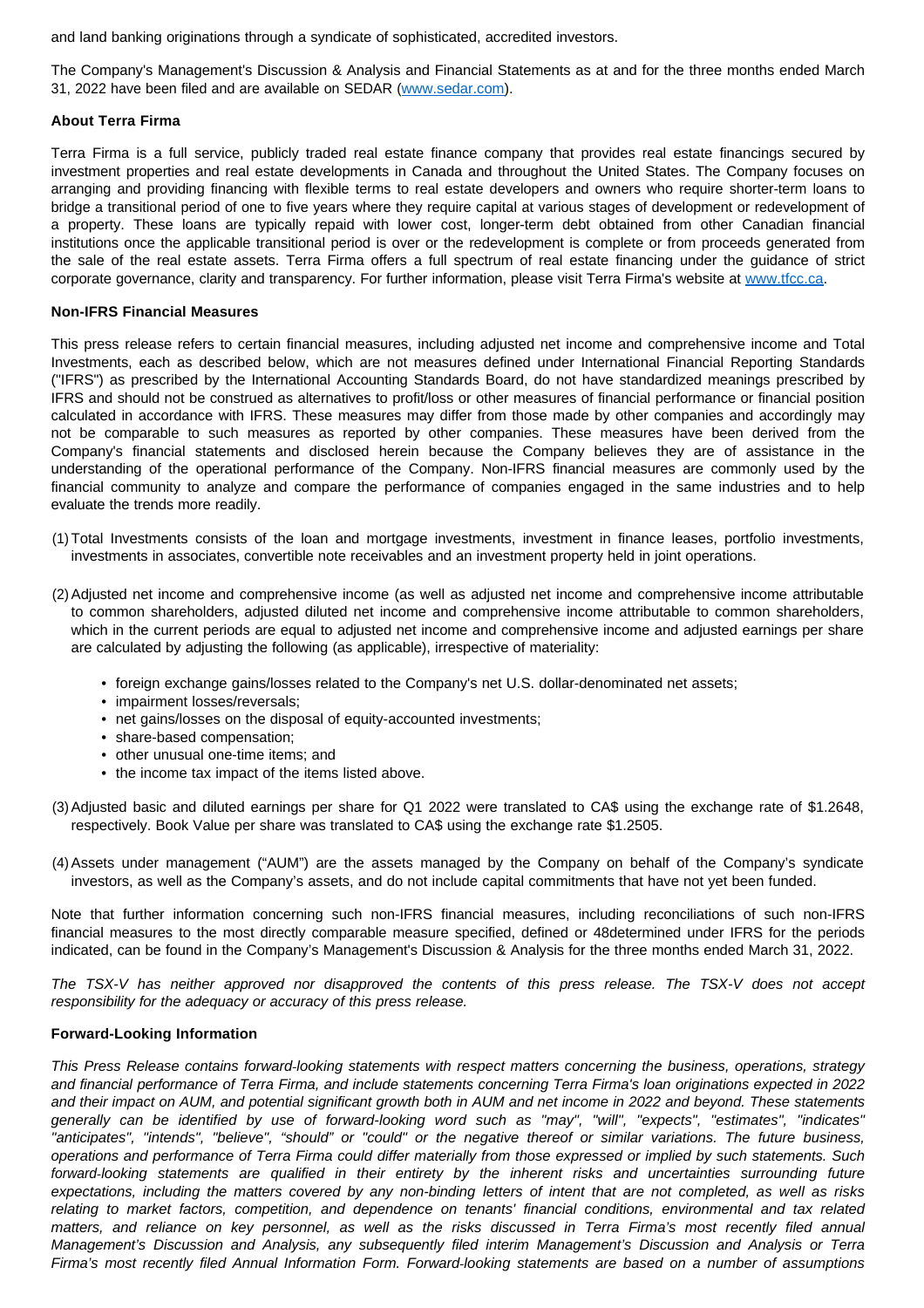and land banking originations through a syndicate of sophisticated, accredited investors.

The Company's Management's Discussion & Analysis and Financial Statements as at and for the three months ended March 31, 2022 have been filed and are available on SEDAR (www.sedar.com).

## **About Terra Firma**

Terra Firma is a full service, publicly traded real estate finance company that provides real estate financings secured by investment properties and real estate developments in Canada and throughout the United States. The Company focuses on arranging and providing financing with flexible terms to real estate developers and owners who require shorter-term loans to bridge a transitional period of one to five years where they require capital at various stages of development or redevelopment of a property. These loans are typically repaid with lower cost, longer-term debt obtained from other Canadian financial institutions once the applicable transitional period is over or the redevelopment is complete or from proceeds generated from the sale of the real estate assets. Terra Firma offers a full spectrum of real estate financing under the guidance of strict corporate governance, clarity and transparency. For further information, please visit Terra Firma's website at www.tfcc.ca.

#### **Non-IFRS Financial Measures**

This press release refers to certain financial measures, including adjusted net income and comprehensive income and Total Investments, each as described below, which are not measures defined under International Financial Reporting Standards ("IFRS") as prescribed by the International Accounting Standards Board, do not have standardized meanings prescribed by IFRS and should not be construed as alternatives to profit/loss or other measures of financial performance or financial position calculated in accordance with IFRS. These measures may differ from those made by other companies and accordingly may not be comparable to such measures as reported by other companies. These measures have been derived from the Company's financial statements and disclosed herein because the Company believes they are of assistance in the understanding of the operational performance of the Company. Non-IFRS financial measures are commonly used by the financial community to analyze and compare the performance of companies engaged in the same industries and to help evaluate the trends more readily.

- (1) Total Investments consists of the loan and mortgage investments, investment in finance leases, portfolio investments, investments in associates, convertible note receivables and an investment property held in joint operations.
- (2)Adjusted net income and comprehensive income (as well as adjusted net income and comprehensive income attributable to common shareholders, adjusted diluted net income and comprehensive income attributable to common shareholders, which in the current periods are equal to adjusted net income and comprehensive income and adjusted earnings per share are calculated by adjusting the following (as applicable), irrespective of materiality:
	- foreign exchange gains/losses related to the Company's net U.S. dollar-denominated net assets;
	- impairment losses/reversals;
	- net gains/losses on the disposal of equity-accounted investments;
	- share-based compensation;
	- other unusual one-time items; and
	- the income tax impact of the items listed above.

(3)Adjusted basic and diluted earnings per share for Q1 2022 were translated to CA\$ using the exchange rate of \$1.2648, respectively. Book Value per share was translated to CA\$ using the exchange rate \$1.2505.

(4)Assets under management ("AUM") are the assets managed by the Company on behalf of the Company's syndicate investors, as well as the Company's assets, and do not include capital commitments that have not yet been funded.

Note that further information concerning such non-IFRS financial measures, including reconciliations of such non-IFRS financial measures to the most directly comparable measure specified, defined or 48determined under IFRS for the periods indicated, can be found in the Company's Management's Discussion & Analysis for the three months ended March 31, 2022.

The TSX-V has neither approved nor disapproved the contents of this press release. The TSX-V does not accept responsibility for the adequacy or accuracy of this press release.

#### **Forward-Looking Information**

This Press Release contains forward*‐*looking statements with respect matters concerning the business, operations, strategy and financial performance of Terra Firma, and include statements concerning Terra Firma's loan originations expected in 2022 and their impact on AUM, and potential significant growth both in AUM and net income in 2022 and beyond. These statements generally can be identified by use of forward-looking word such as "may", "will", "expects", "estimates", "indicates" "anticipates", "intends", "believe", "should" or "could" or the negative thereof or similar variations. The future business, operations and performance of Terra Firma could differ materially from those expressed or implied by such statements. Such forward-looking statements are qualified in their entirety by the inherent risks and uncertainties surrounding future expectations, including the matters covered by any non-binding letters of intent that are not completed, as well as risks relating to market factors, competition, and dependence on tenants' financial conditions, environmental and tax related matters, and reliance on key personnel, as well as the risks discussed in Terra Firma's most recently filed annual Management's Discussion and Analysis, any subsequently filed interim Management's Discussion and Analysis or Terra Firma's most recently filed Annual Information Form. Forward*‐*looking statements are based on a number of assumptions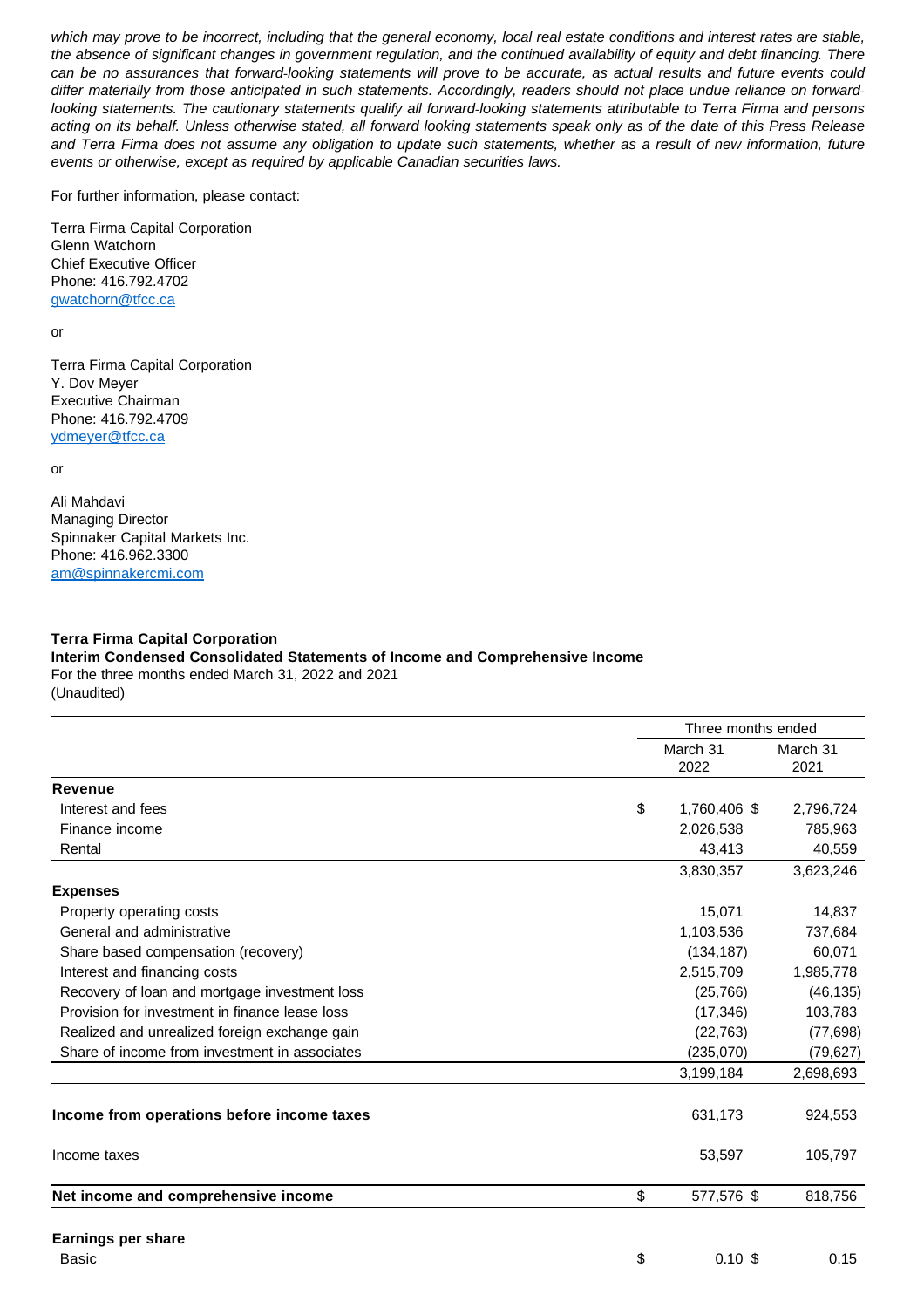which may prove to be incorrect, including that the general economy, local real estate conditions and interest rates are stable, the absence of significant changes in government regulation, and the continued availability of equity and debt financing. There can be no assurances that forward*‐*looking statements will prove to be accurate, as actual results and future events could differ materially from those anticipated in such statements. Accordingly, readers should not place undue reliance on forward*‐* looking statements. The cautionary statements qualify all forward*‐*looking statements attributable to Terra Firma and persons acting on its behalf. Unless otherwise stated, all forward looking statements speak only as of the date of this Press Release and Terra Firma does not assume any obligation to update such statements, whether as a result of new information, future events or otherwise, except as required by applicable Canadian securities laws.

For further information, please contact:

Terra Firma Capital Corporation Glenn Watchorn Chief Executive Officer Phone: 416.792.4702 gwatchorn@tfcc.ca

or

Terra Firma Capital Corporation Y. Dov Meyer Executive Chairman Phone: 416.792.4709 ydmeyer@tfcc.ca

or

Ali Mahdavi Managing Director Spinnaker Capital Markets Inc. Phone: 416.962.3300 am@spinnakercmi.com

## **Terra Firma Capital Corporation**

# **Interim Condensed Consolidated Statements of Income and Comprehensive Income**

For the three months ended March 31, 2022 and 2021 (Unaudited)

|                                                | Three months ended |                  |  |
|------------------------------------------------|--------------------|------------------|--|
|                                                | March 31<br>2022   | March 31<br>2021 |  |
| <b>Revenue</b>                                 |                    |                  |  |
| Interest and fees                              | \$<br>1,760,406 \$ | 2,796,724        |  |
| Finance income                                 | 2,026,538          | 785,963          |  |
| Rental                                         | 43,413             | 40,559           |  |
|                                                | 3,830,357          | 3,623,246        |  |
| <b>Expenses</b>                                |                    |                  |  |
| Property operating costs                       | 15,071             | 14,837           |  |
| General and administrative                     | 1,103,536          | 737,684          |  |
| Share based compensation (recovery)            | (134, 187)         | 60,071           |  |
| Interest and financing costs                   | 2,515,709          | 1,985,778        |  |
| Recovery of loan and mortgage investment loss  | (25, 766)          | (46, 135)        |  |
| Provision for investment in finance lease loss | (17, 346)          | 103,783          |  |
| Realized and unrealized foreign exchange gain  | (22, 763)          | (77, 698)        |  |
| Share of income from investment in associates  | (235,070)          | (79, 627)        |  |
|                                                | 3,199,184          | 2,698,693        |  |
| Income from operations before income taxes     | 631,173            | 924,553          |  |
| Income taxes                                   | 53,597             | 105,797          |  |
| Net income and comprehensive income            | \$<br>577,576 \$   | 818,756          |  |
| <b>Earnings per share</b>                      |                    |                  |  |
| <b>Basic</b>                                   | \$<br>$0.10$ \$    | 0.15             |  |